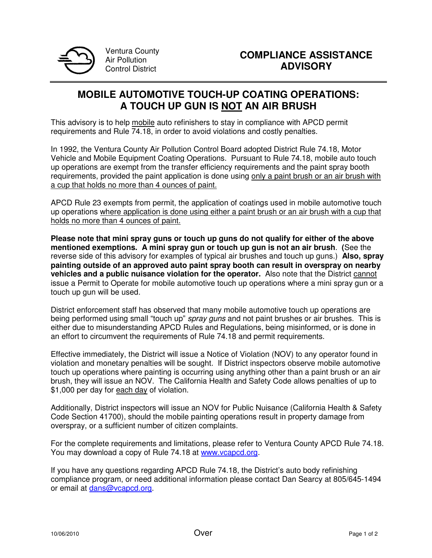

Ventura County Air Pollution Control District

## **MOBILE AUTOMOTIVE TOUCH-UP COATING OPERATIONS: A TOUCH UP GUN IS NOT AN AIR BRUSH**

This advisory is to help mobile auto refinishers to stay in compliance with APCD permit requirements and Rule 74.18, in order to avoid violations and costly penalties.

In 1992, the Ventura County Air Pollution Control Board adopted District Rule 74.18, Motor Vehicle and Mobile Equipment Coating Operations. Pursuant to Rule 74.18, mobile auto touch up operations are exempt from the transfer efficiency requirements and the paint spray booth requirements, provided the paint application is done using only a paint brush or an air brush with a cup that holds no more than 4 ounces of paint.

APCD Rule 23 exempts from permit, the application of coatings used in mobile automotive touch up operations where application is done using either a paint brush or an air brush with a cup that holds no more than 4 ounces of paint.

**Please note that mini spray guns or touch up guns do not qualify for either of the above mentioned exemptions. A mini spray gun or touch up gun is not an air brush**. **(**See the reverse side of this advisory for examples of typical air brushes and touch up guns.) **Also, spray painting outside of an approved auto paint spray booth can result in overspray on nearby vehicles and a public nuisance violation for the operator.** Also note that the District cannot issue a Permit to Operate for mobile automotive touch up operations where a mini spray gun or a touch up gun will be used.

District enforcement staff has observed that many mobile automotive touch up operations are being performed using small "touch up" *spray guns* and not paint brushes or air brushes. This is either due to misunderstanding APCD Rules and Regulations, being misinformed, or is done in an effort to circumvent the requirements of Rule 74.18 and permit requirements.

Effective immediately, the District will issue a Notice of Violation (NOV) to any operator found in violation and monetary penalties will be sought. If District inspectors observe mobile automotive touch up operations where painting is occurring using anything other than a paint brush or an air brush, they will issue an NOV. The California Health and Safety Code allows penalties of up to \$1,000 per day for each day of violation.

Additionally, District inspectors will issue an NOV for Public Nuisance (California Health & Safety Code Section 41700), should the mobile painting operations result in property damage from overspray, or a sufficient number of citizen complaints.

For the complete requirements and limitations, please refer to Ventura County APCD Rule 74.18. You may download a copy of Rule 74.18 at www.vcapcd.org.

If you have any questions regarding APCD Rule 74.18, the District's auto body refinishing compliance program, or need additional information please contact Dan Searcy at 805/645-1494 or email at dans@vcapcd.org.